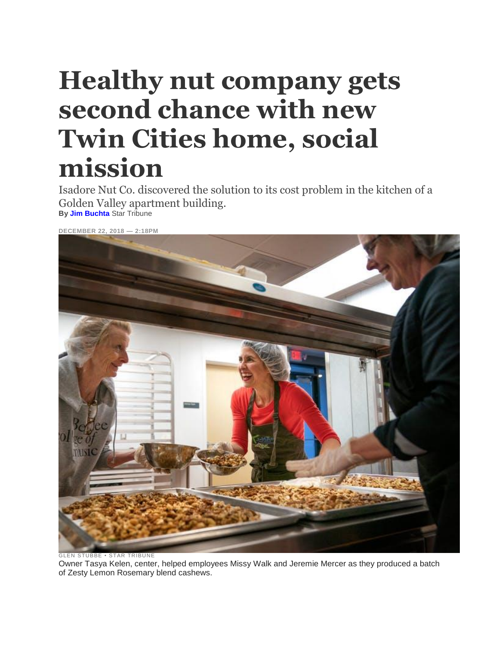## **Healthy nut company gets second chance with new Twin Cities home, social mission**

Isadore Nut Co. discovered the solution to its cost problem in the kitchen of a Golden Valley apartment building. **By Jim [Buchta](http://www.startribune.com/jim-buchta/10644536/)** Star Tribune

**DECEMBER 22, 2018 — 2:18PM**



GLEN STUBBE • STAR TRIBUNE Owner Tasya Kelen, center, helped employees Missy Walk and Jeremie Mercer as they produced a batch of Zesty Lemon Rosemary blend cashews.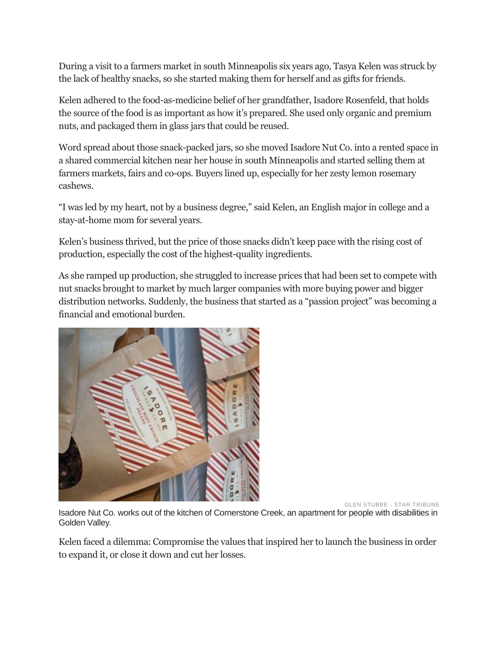During a visit to a farmers market in south Minneapolis six years ago, Tasya Kelen was struck by the lack of healthy snacks, so she started making them for herself and as gifts for friends.

Kelen adhered to the food-as-medicine belief of her grandfather, Isadore Rosenfeld, that holds the source of the food is as important as how it's prepared. She used only organic and premium nuts, and packaged them in glass jars that could be reused.

Word spread about those snack-packed jars, so she moved Isadore Nut Co. into a rented space in a shared commercial kitchen near her house in south Minneapolis and started selling them at farmers markets, fairs and co-ops. Buyers lined up, especially for her zesty lemon rosemary cashews.

"I was led by my heart, not by a business degree," said Kelen, an English major in college and a stay-at-home mom for several years.

Kelen's business thrived, but the price of those snacks didn't keep pace with the rising cost of production, especially the cost of the highest-quality ingredients.

As she ramped up production, she struggled to increase prices that had been set to compete with nut snacks brought to market by much larger companies with more buying power and bigger distribution networks. Suddenly, the business that started as a "passion project" was becoming a financial and emotional burden.



GLEN STUBBE - STAR TRIBUNE

Isadore Nut Co. works out of the kitchen of Cornerstone Creek, an apartment for people with disabilities in Golden Valley.

Kelen faced a dilemma: Compromise the values that inspired her to launch the business in order to expand it, or close it down and cut her losses.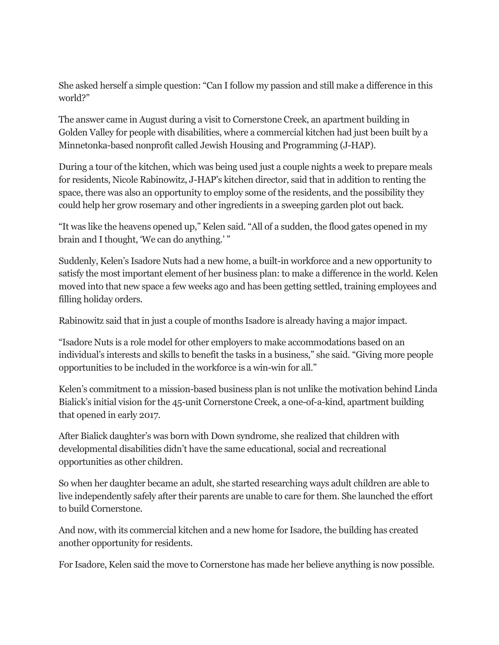She asked herself a simple question: "Can I follow my passion and still make a difference in this world?"

The answer came in August during a visit to Cornerstone Creek, an apartment building in Golden Valley for people with disabilities, where a commercial kitchen had just been built by a Minnetonka-based nonprofit called Jewish Housing and Programming (J-HAP).

During a tour of the kitchen, which was being used just a couple nights a week to prepare meals for residents, Nicole Rabinowitz, J-HAP's kitchen director, said that in addition to renting the space, there was also an opportunity to employ some of the residents, and the possibility they could help her grow rosemary and other ingredients in a sweeping garden plot out back.

"It was like the heavens opened up," Kelen said. "All of a sudden, the flood gates opened in my brain and I thought, 'We can do anything.' "

Suddenly, Kelen's Isadore Nuts had a new home, a built-in workforce and a new opportunity to satisfy the most important element of her business plan: to make a difference in the world. Kelen moved into that new space a few weeks ago and has been getting settled, training employees and filling holiday orders.

Rabinowitz said that in just a couple of months Isadore is already having a major impact.

"Isadore Nuts is a role model for other employers to make accommodations based on an individual's interests and skills to benefit the tasks in a business," she said. "Giving more people opportunities to be included in the workforce is a win-win for all."

Kelen's commitment to a mission-based business plan is not unlike the motivation behind Linda Bialick's initial vision for the 45-unit Cornerstone Creek, a one-of-a-kind, apartment building that opened in early 2017.

After Bialick daughter's was born with Down syndrome, she realized that children with developmental disabilities didn't have the same educational, social and recreational opportunities as other children.

So when her daughter became an adult, she started researching ways adult children are able to live independently safely after their parents are unable to care for them. She launched the effort to build Cornerstone.

And now, with its commercial kitchen and a new home for Isadore, the building has created another opportunity for residents.

For Isadore, Kelen said the move to Cornerstone has made her believe anything is now possible.